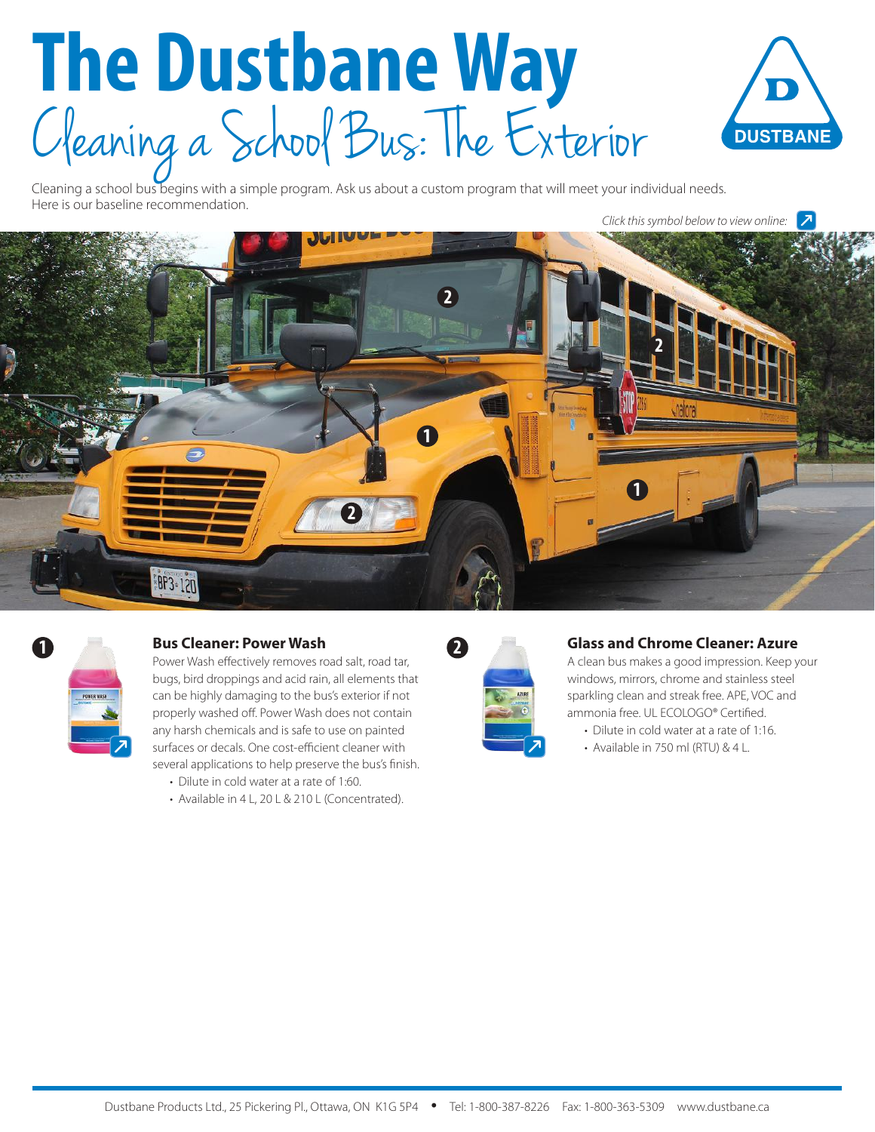# **The Dustbane Way** C leaning a School Bus: The Exterior



Cleaning a school bus begins with a simple program. Ask us about a custom program that will meet your individual needs. Here is our baseline recommendation.

*Click this symbol below to view online:*





# **1 Bus Cleaner: Power Wash**

Power Wash effectively removes road salt, road tar, bugs, bird droppings and acid rain, all elements that can be highly damaging to the bus's exterior if not properly washed off. Power Wash does not contain any harsh chemicals and is safe to use on painted surfaces or decals. One cost-efficient cleaner with several applications to help preserve the bus's finish.

- Dilute in cold water at a rate of 1:60.
- Available in 4 L, 20 L & 210 L (Concentrated).



### **Glass and Chrome Cleaner: Azure**

A clean bus makes a good impression. Keep your windows, mirrors, chrome and stainless steel sparkling clean and streak free. APE, VOC and ammonia free. UL ECOLOGO® Certified.

- Dilute in cold water at a rate of 1:16.
- Available in 750 ml (RTU) & 4 L.